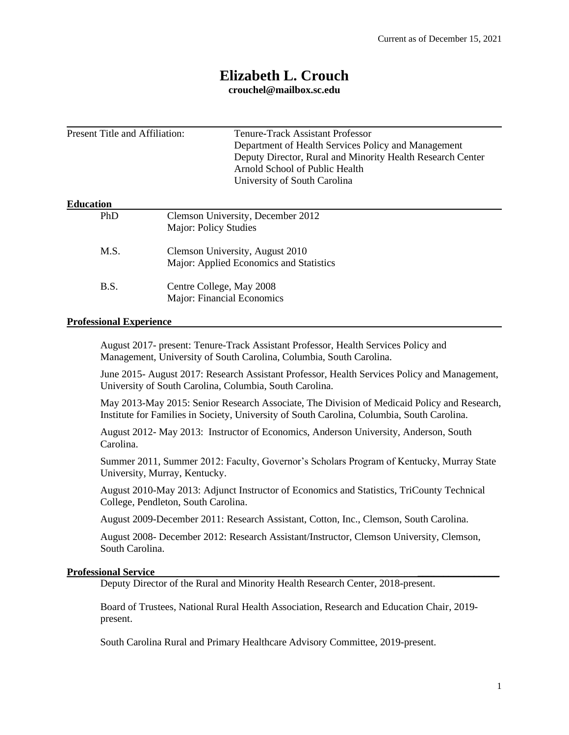# **Elizabeth L. Crouch**

**[crouchel@mailbox.sc.edu](mailto:ldickes@clemson.edu)**

| Present Title and Affiliation: |                                                                            | Tenure-Track Assistant Professor<br>Department of Health Services Policy and Management<br>Deputy Director, Rural and Minority Health Research Center<br>Arnold School of Public Health<br>University of South Carolina |  |
|--------------------------------|----------------------------------------------------------------------------|-------------------------------------------------------------------------------------------------------------------------------------------------------------------------------------------------------------------------|--|
| <b>Education</b>               |                                                                            |                                                                                                                                                                                                                         |  |
| PhD                            | Clemson University, December 2012<br>Major: Policy Studies                 |                                                                                                                                                                                                                         |  |
| M.S.                           | Clemson University, August 2010<br>Major: Applied Economics and Statistics |                                                                                                                                                                                                                         |  |
| <b>B.S.</b>                    |                                                                            | Centre College, May 2008<br>Major: Financial Economics                                                                                                                                                                  |  |

## **Professional Experience**

August 2017- present: Tenure-Track Assistant Professor, Health Services Policy and Management, University of South Carolina, Columbia, South Carolina.

June 2015- August 2017: Research Assistant Professor, Health Services Policy and Management, University of South Carolina, Columbia, South Carolina.

May 2013-May 2015: Senior Research Associate, The Division of Medicaid Policy and Research, Institute for Families in Society, University of South Carolina, Columbia, South Carolina.

August 2012- May 2013: Instructor of Economics, Anderson University, Anderson, South Carolina.

Summer 2011, Summer 2012: Faculty, Governor's Scholars Program of Kentucky, Murray State University, Murray, Kentucky.

August 2010-May 2013: Adjunct Instructor of Economics and Statistics, TriCounty Technical College, Pendleton, South Carolina.

August 2009-December 2011: Research Assistant, Cotton, Inc., Clemson, South Carolina.

August 2008- December 2012: Research Assistant/Instructor, Clemson University, Clemson, South Carolina.

#### **Professional Service \_\_\_\_\_\_\_\_\_\_\_\_\_\_\_\_**

Deputy Director of the Rural and Minority Health Research Center, 2018-present.

Board of Trustees, National Rural Health Association, Research and Education Chair, 2019 present.

South Carolina Rural and Primary Healthcare Advisory Committee, 2019-present.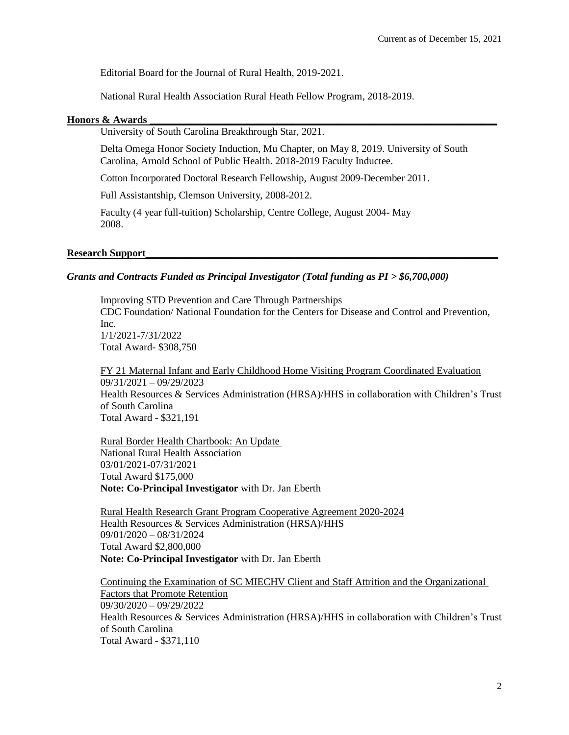Editorial Board for the Journal of Rural Health, 2019-2021.

National Rural Health Association Rural Heath Fellow Program, 2018-2019.

#### **Honors & Awards \_\_\_\_\_\_\_\_\_\_\_\_\_\_\_\_\_\_\_\_\_\_\_\_\_\_\_\_\_\_\_\_\_\_\_\_\_\_\_\_\_\_\_\_\_\_\_\_\_\_\_\_\_\_\_\_\_\_\_\_\_\_\_\_\_\_\_\_**

University of South Carolina Breakthrough Star, 2021.

Delta Omega Honor Society Induction, Mu Chapter, on May 8, 2019. University of South Carolina, Arnold School of Public Health. 2018-2019 Faculty Inductee.

Cotton Incorporated Doctoral Research Fellowship, August 2009-December 2011.

Full Assistantship, Clemson University, 2008-2012.

Faculty (4 year full-tuition) Scholarship, Centre College, August 2004- May 2008.

#### Research Support

#### *Grants and Contracts Funded as Principal Investigator (Total funding as PI > \$6,700,000)*

Improving STD Prevention and Care Through Partnerships CDC Foundation/ National Foundation for the Centers for Disease and Control and Prevention, Inc. 1/1/2021-7/31/2022 Total Award- \$308,750

FY 21 Maternal Infant and Early Childhood Home Visiting Program Coordinated Evaluation 09/31/2021 – 09/29/2023 Health Resources & Services Administration (HRSA)/HHS in collaboration with Children's Trust of South Carolina Total Award - \$321,191

Rural Border Health Chartbook: An Update National Rural Health Association 03/01/2021-07/31/2021 Total Award \$175,000 **Note: Co-Principal Investigator** with Dr. Jan Eberth

Rural Health Research Grant Program Cooperative Agreement 2020-2024 Health Resources & Services Administration (HRSA)/HHS 09/01/2020 – 08/31/2024 Total Award \$2,800,000 **Note: Co-Principal Investigator** with Dr. Jan Eberth

Continuing the Examination of SC MIECHV Client and Staff Attrition and the Organizational Factors that Promote Retention 09/30/2020 – 09/29/2022 Health Resources & Services Administration (HRSA)/HHS in collaboration with Children's Trust of South Carolina Total Award - \$371,110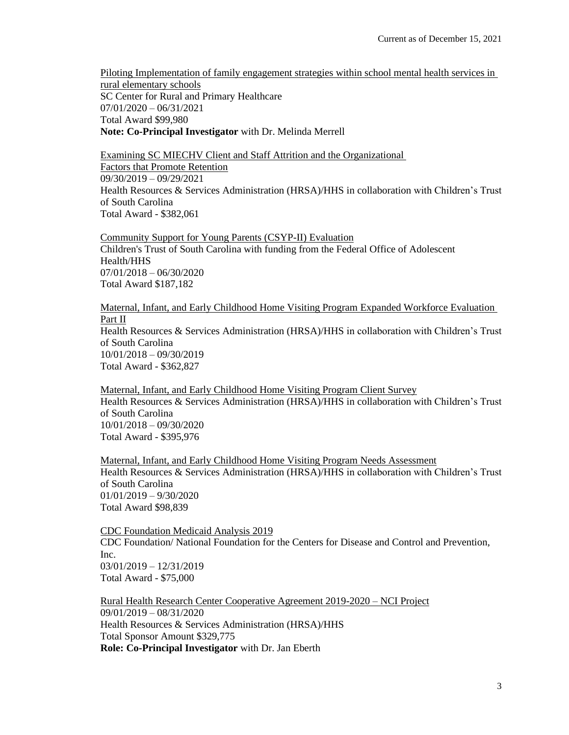Piloting Implementation of family engagement strategies within school mental health services in rural elementary schools SC Center for Rural and Primary Healthcare 07/01/2020 – 06/31/2021 Total Award \$99,980 **Note: Co-Principal Investigator** with Dr. Melinda Merrell

Examining SC MIECHV Client and Staff Attrition and the Organizational Factors that Promote Retention 09/30/2019 – 09/29/2021 Health Resources & Services Administration (HRSA)/HHS in collaboration with Children's Trust of South Carolina Total Award - \$382,061

Community Support for Young Parents (CSYP-II) Evaluation Children's Trust of South Carolina with funding from the Federal Office of Adolescent Health/HHS 07/01/2018 – 06/30/2020 Total Award \$187,182

Maternal, Infant, and Early Childhood Home Visiting Program Expanded Workforce Evaluation Part II Health Resources & Services Administration (HRSA)/HHS in collaboration with Children's Trust of South Carolina 10/01/2018 – 09/30/2019 Total Award - \$362,827

Maternal, Infant, and Early Childhood Home Visiting Program Client Survey Health Resources & Services Administration (HRSA)/HHS in collaboration with Children's Trust of South Carolina 10/01/2018 – 09/30/2020 Total Award - \$395,976

Maternal, Infant, and Early Childhood Home Visiting Program Needs Assessment Health Resources & Services Administration (HRSA)/HHS in collaboration with Children's Trust of South Carolina 01/01/2019 – 9/30/2020 Total Award \$98,839

CDC Foundation Medicaid Analysis 2019 CDC Foundation/ National Foundation for the Centers for Disease and Control and Prevention, Inc. 03/01/2019 – 12/31/2019 Total Award - \$75,000

Rural Health Research Center Cooperative Agreement 2019-2020 – NCI Project 09/01/2019 – 08/31/2020 Health Resources & Services Administration (HRSA)/HHS Total Sponsor Amount \$329,775 **Role: Co-Principal Investigator** with Dr. Jan Eberth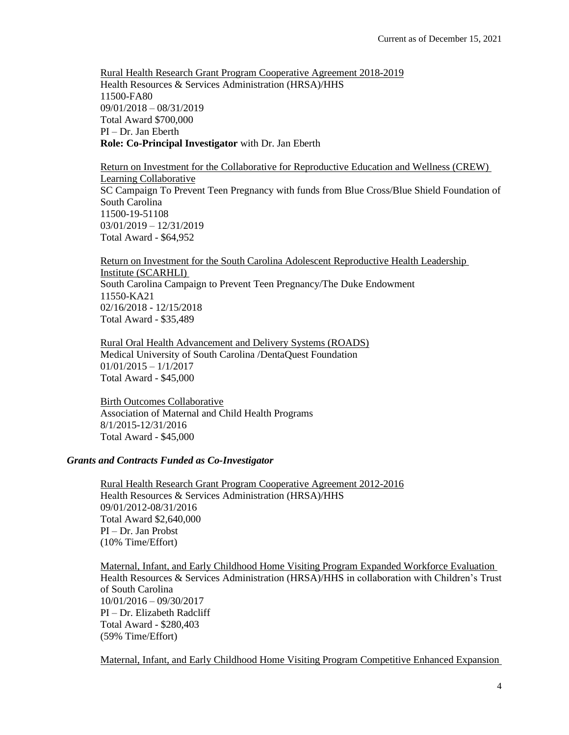Rural Health Research Grant Program Cooperative Agreement 2018-2019 Health Resources & Services Administration (HRSA)/HHS 11500-FA80 09/01/2018 – 08/31/2019 Total Award \$700,000 PI – Dr. Jan Eberth **Role: Co-Principal Investigator** with Dr. Jan Eberth

Return on Investment for the Collaborative for Reproductive Education and Wellness (CREW) Learning Collaborative SC Campaign To Prevent Teen Pregnancy with funds from Blue Cross/Blue Shield Foundation of South Carolina 11500-19-51108 03/01/2019 – 12/31/2019 Total Award - \$64,952

Return on Investment for the South Carolina Adolescent Reproductive Health Leadership Institute (SCARHLI) South Carolina Campaign to Prevent Teen Pregnancy/The Duke Endowment 11550-KA21 02/16/2018 - 12/15/2018 Total Award - \$35,489

Rural Oral Health Advancement and Delivery Systems (ROADS) Medical University of South Carolina /DentaQuest Foundation 01/01/2015 – 1/1/2017 Total Award - \$45,000

Birth Outcomes Collaborative Association of Maternal and Child Health Programs 8/1/2015-12/31/2016 Total Award - \$45,000

## *Grants and Contracts Funded as Co-Investigator*

Rural Health Research Grant Program Cooperative Agreement 2012-2016 Health Resources & Services Administration (HRSA)/HHS 09/01/2012-08/31/2016 Total Award \$2,640,000 PI – Dr. Jan Probst (10% Time/Effort)

Maternal, Infant, and Early Childhood Home Visiting Program Expanded Workforce Evaluation Health Resources & Services Administration (HRSA)/HHS in collaboration with Children's Trust of South Carolina 10/01/2016 – 09/30/2017 PI – Dr. Elizabeth Radcliff Total Award - \$280,403 (59% Time/Effort)

Maternal, Infant, and Early Childhood Home Visiting Program Competitive Enhanced Expansion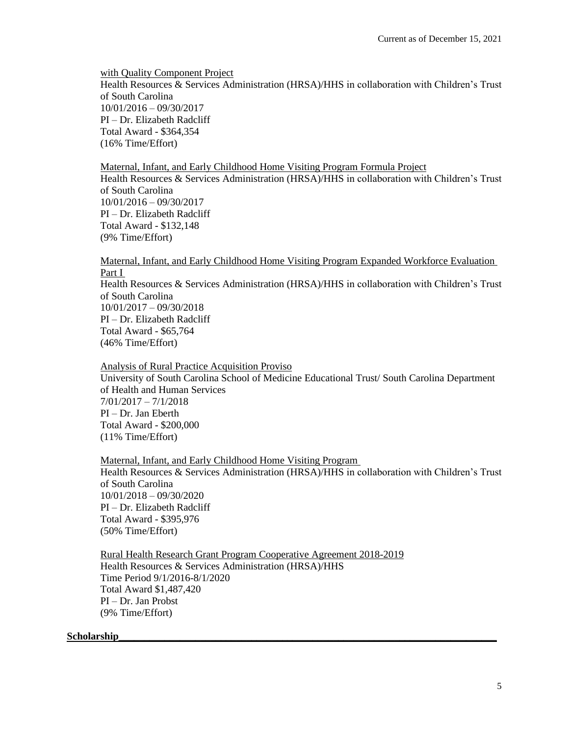with Quality Component Project Health Resources & Services Administration (HRSA)/HHS in collaboration with Children's Trust of South Carolina 10/01/2016 – 09/30/2017 PI – Dr. Elizabeth Radcliff Total Award - \$364,354 (16% Time/Effort)

Maternal, Infant, and Early Childhood Home Visiting Program Formula Project Health Resources & Services Administration (HRSA)/HHS in collaboration with Children's Trust of South Carolina 10/01/2016 – 09/30/2017 PI – Dr. Elizabeth Radcliff Total Award - \$132,148 (9% Time/Effort)

Maternal, Infant, and Early Childhood Home Visiting Program Expanded Workforce Evaluation Part I

Health Resources & Services Administration (HRSA)/HHS in collaboration with Children's Trust of South Carolina 10/01/2017 – 09/30/2018 PI – Dr. Elizabeth Radcliff Total Award - \$65,764 (46% Time/Effort)

Analysis of Rural Practice Acquisition Proviso University of South Carolina School of Medicine Educational Trust/ South Carolina Department of Health and Human Services 7/01/2017 – 7/1/2018 PI – Dr. Jan Eberth Total Award - \$200,000 (11% Time/Effort)

Maternal, Infant, and Early Childhood Home Visiting Program Health Resources & Services Administration (HRSA)/HHS in collaboration with Children's Trust of South Carolina 10/01/2018 – 09/30/2020 PI – Dr. Elizabeth Radcliff Total Award - \$395,976 (50% Time/Effort)

Rural Health Research Grant Program Cooperative Agreement 2018-2019 Health Resources & Services Administration (HRSA)/HHS Time Period 9/1/2016-8/1/2020 Total Award \$1,487,420 PI – Dr. Jan Probst (9% Time/Effort)

#### $Scholarship$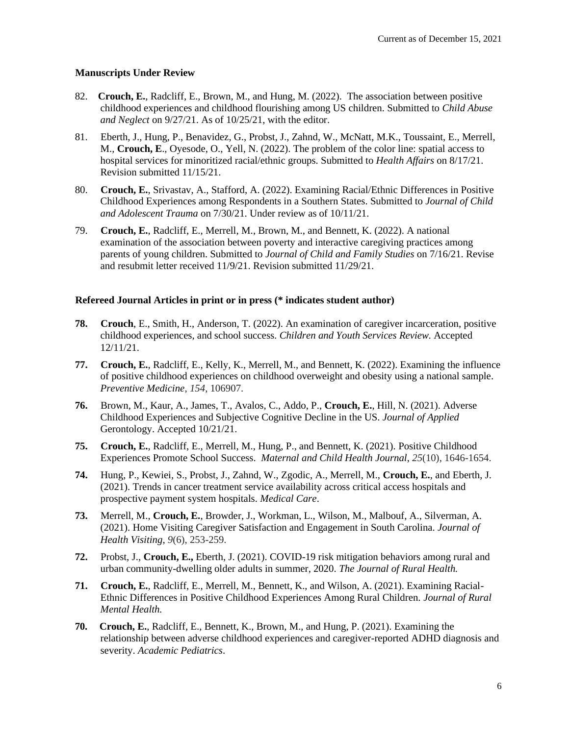## **Manuscripts Under Review**

- 82. **Crouch, E.**, Radcliff, E., Brown, M., and Hung, M. (2022). The association between positive childhood experiences and childhood flourishing among US children. Submitted to *Child Abuse and Neglect* on 9/27/21. As of 10/25/21, with the editor.
- 81. Eberth, J., Hung, P., Benavidez, G., Probst, J., Zahnd, W., McNatt, M.K., Toussaint, E., Merrell, M., **Crouch, E**., Oyesode, O., Yell, N. (2022). The problem of the color line: spatial access to hospital services for minoritized racial/ethnic groups. Submitted to *Health Affairs* on 8/17/21. Revision submitted 11/15/21.
- 80. **Crouch, E.**, Srivastav, A., Stafford, A. (2022). Examining Racial/Ethnic Differences in Positive Childhood Experiences among Respondents in a Southern States. Submitted to *Journal of Child and Adolescent Trauma* on 7/30/21. Under review as of 10/11/21.
- 79. **Crouch, E.**, Radcliff, E., Merrell, M., Brown, M., and Bennett, K. (2022). A national examination of the association between poverty and interactive caregiving practices among parents of young children. Submitted to *Journal of Child and Family Studies* on 7/16/21. Revise and resubmit letter received 11/9/21. Revision submitted 11/29/21.

## **Refereed Journal Articles in print or in press (\* indicates student author)**

- **78. Crouch**, E., Smith, H., Anderson, T. (2022). An examination of caregiver incarceration, positive childhood experiences, and school success. *Children and Youth Services Review.* Accepted 12/11/21.
- **77. Crouch, E.**, Radcliff, E., Kelly, K., Merrell, M., and Bennett, K. (2022). Examining the influence of positive childhood experiences on childhood overweight and obesity using a national sample. *Preventive Medicine*, *154*, 106907.
- **76.** Brown, M., Kaur, A., James, T., Avalos, C., Addo, P., **Crouch, E.**, Hill, N. (2021). Adverse Childhood Experiences and Subjective Cognitive Decline in the US. *Journal of Applied*  Gerontology. Accepted 10/21/21.
- **75. Crouch, E.**, Radcliff, E., Merrell, M., Hung, P., and Bennett, K. (2021). Positive Childhood Experiences Promote School Success. *Maternal and Child Health Journal*, *25*(10), 1646-1654.
- **74.** Hung, P., Kewiei, S., Probst, J., Zahnd, W., Zgodic, A., Merrell, M., **Crouch, E.**, and Eberth, J. (2021). Trends in cancer treatment service availability across critical access hospitals and prospective payment system hospitals. *Medical Care*.
- **73.** Merrell, M., **Crouch, E.**, Browder, J., Workman, L., Wilson, M., Malbouf, A., Silverman, A. (2021). Home Visiting Caregiver Satisfaction and Engagement in South Carolina. *Journal of Health Visiting*, *9*(6), 253-259.
- **72.** Probst, J., **Crouch, E.,** Eberth, J. (2021). COVID-19 risk mitigation behaviors among rural and urban community-dwelling older adults in summer, 2020. *The Journal of Rural Health.*
- **71. Crouch, E.**, Radcliff, E., Merrell, M., Bennett, K., and Wilson, A. (2021). Examining Racial-Ethnic Differences in Positive Childhood Experiences Among Rural Children. *Journal of Rural Mental Health.*
- **70. Crouch, E.**, Radcliff, E., Bennett, K., Brown, M., and Hung, P. (2021). Examining the relationship between adverse childhood experiences and caregiver-reported ADHD diagnosis and severity. *Academic Pediatrics*.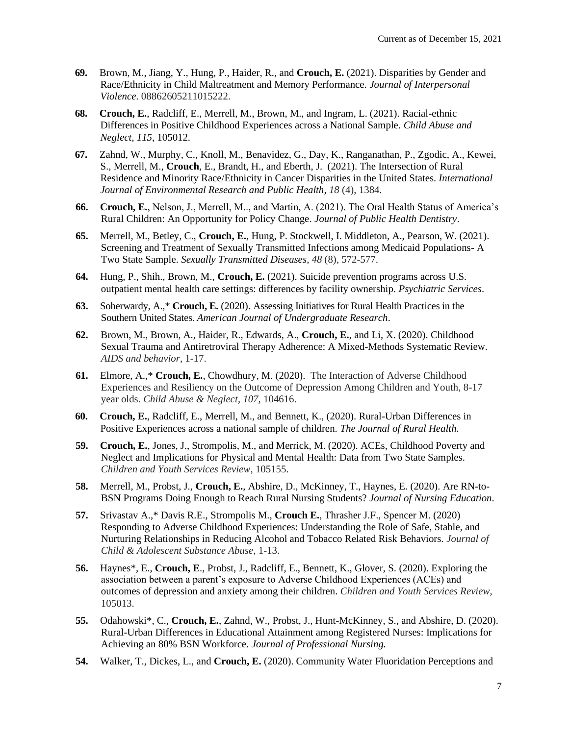- **69.** Brown, M., Jiang, Y., Hung, P., Haider, R., and **Crouch, E.** (2021). Disparities by Gender and Race/Ethnicity in Child Maltreatment and Memory Performance. *Journal of Interpersonal Violence.* 08862605211015222.
- **68. Crouch, E.**, Radcliff, E., Merrell, M., Brown, M., and Ingram, L. (2021). Racial-ethnic Differences in Positive Childhood Experiences across a National Sample. *Child Abuse and Neglect*, *115*, 105012.
- **67.** Zahnd, W., Murphy, C., Knoll, M., Benavidez, G., Day, K., Ranganathan, P., Zgodic, A., Kewei, S., Merrell, M., **Crouch**, E., Brandt, H., and Eberth, J. (2021). The Intersection of Rural Residence and Minority Race/Ethnicity in Cancer Disparities in the United States. *International*  Journal of Environmental Research and Public Health, 18 (4), 1384.
- **66. Crouch, E.**, Nelson, J., Merrell, M.., and Martin, A. (2021). The Oral Health Status of America's Rural Children: An Opportunity for Policy Change. *Journal of Public Health Dentistry*.
- **65.** Merrell, M., Betley, C., **Crouch, E.**, Hung, P. Stockwell, I. Middleton, A., Pearson, W. (2021). Screening and Treatment of Sexually Transmitted Infections among Medicaid Populations- A Two State Sample. *Sexually Transmitted Diseases, 48* (8), 572-577.
- **64.** Hung, P., Shih., Brown, M., **Crouch, E.** (2021). Suicide prevention programs across U.S. outpatient mental health care settings: differences by facility ownership. *Psychiatric Services*.
- **63.** Soherwardy, A.,\* **Crouch, E.** (2020). Assessing Initiatives for Rural Health Practices in the Southern United States. *American Journal of Undergraduate Research*.
- **62.** Brown, M., Brown, A., Haider, R., Edwards, A., **Crouch, E.**, and Li, X. (2020). Childhood Sexual Trauma and Antiretroviral Therapy Adherence: A Mixed-Methods Systematic Review. *AIDS and behavior*, 1-17.
- **61.** Elmore, A.,\* **Crouch, E.**, Chowdhury, M. (2020). The Interaction of Adverse Childhood Experiences and Resiliency on the Outcome of Depression Among Children and Youth, 8-17 year olds. *Child Abuse & Neglect*, *107*, 104616.
- **60. Crouch, E.**, Radcliff, E., Merrell, M., and Bennett, K., (2020). Rural-Urban Differences in Positive Experiences across a national sample of children. *The Journal of Rural Health.*
- **59. Crouch, E.**, Jones, J., Strompolis, M., and Merrick, M. (2020). ACEs, Childhood Poverty and Neglect and Implications for Physical and Mental Health: Data from Two State Samples. *Children and Youth Services Review*, 105155.
- **58.** Merrell, M., Probst, J., **Crouch, E.**, Abshire, D., McKinney, T., Haynes, E. (2020). Are RN-to-BSN Programs Doing Enough to Reach Rural Nursing Students? *Journal of Nursing Education*.
- **57.** Srivastav A.,\* Davis R.E., Strompolis M., **Crouch E.**, Thrasher J.F., Spencer M. (2020) Responding to Adverse Childhood Experiences: Understanding the Role of Safe, Stable, and Nurturing Relationships in Reducing Alcohol and Tobacco Related Risk Behaviors. *Journal of Child & Adolescent Substance Abuse*, 1-13.
- **56.** Haynes\*, E., **Crouch, E**., Probst, J., Radcliff, E., Bennett, K., Glover, S. (2020). Exploring the association between a parent's exposure to Adverse Childhood Experiences (ACEs) and outcomes of depression and anxiety among their children. *Children and Youth Services Review*, 105013.
- **55.** Odahowski\*, C., **Crouch, E.**, Zahnd, W., Probst, J., Hunt-McKinney, S., and Abshire, D. (2020). Rural-Urban Differences in Educational Attainment among Registered Nurses: Implications for Achieving an 80% BSN Workforce. *Journal of Professional Nursing.*
- **54.** Walker, T., Dickes, L., and **Crouch, E.** (2020). Community Water Fluoridation Perceptions and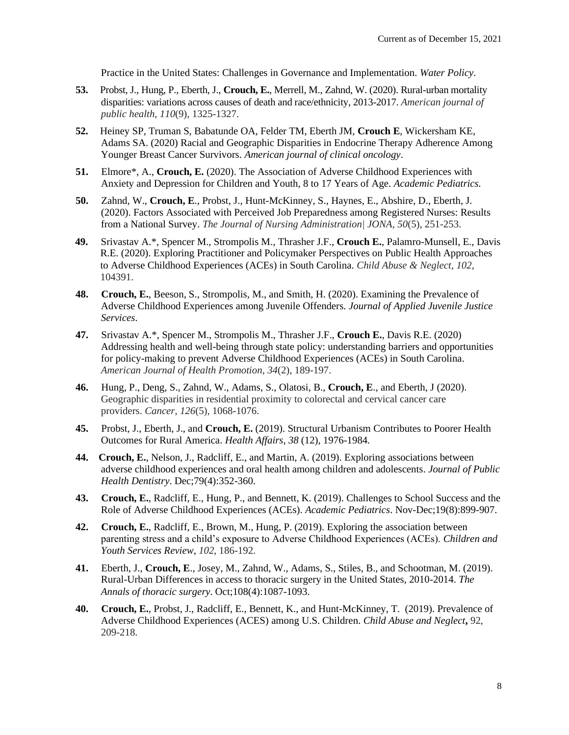Practice in the United States: Challenges in Governance and Implementation. *Water Policy*.

- **53.** Probst, J., Hung, P., Eberth, J., **Crouch, E.**, Merrell, M., Zahnd, W. (2020). Rural-urban mortality disparities: variations across causes of death and race/ethnicity, 2013-2017. *American journal of public health*, *110*(9), 1325-1327.
- **52.** Heiney SP, Truman S, Babatunde OA, Felder TM, Eberth JM, **Crouch E**, Wickersham KE, Adams SA. (2020) Racial and Geographic Disparities in Endocrine Therapy Adherence Among Younger Breast Cancer Survivors. *American journal of clinical oncology*.
- **51.** Elmore\*, A., **Crouch, E.** (2020). The Association of Adverse Childhood Experiences with Anxiety and Depression for Children and Youth, 8 to 17 Years of Age. *Academic Pediatrics.*
- **50.** Zahnd, W., **Crouch, E**., Probst, J., Hunt-McKinney, S., Haynes, E., Abshire, D., Eberth, J. (2020). Factors Associated with Perceived Job Preparedness among Registered Nurses: Results from a National Survey. *The Journal of Nursing Administration| JONA*, *50*(5), 251-253.
- **49.** Srivastav A.\*, Spencer M., Strompolis M., Thrasher J.F., **Crouch E.**, Palamro-Munsell, E., Davis R.E. (2020). Exploring Practitioner and Policymaker Perspectives on Public Health Approaches to Adverse Childhood Experiences (ACEs) in South Carolina. *Child Abuse & Neglect*, *102*, 104391.
- **48. Crouch, E.**, Beeson, S., Strompolis, M., and Smith, H. (2020). Examining the Prevalence of Adverse Childhood Experiences among Juvenile Offenders. *Journal of Applied Juvenile Justice Services*.
- **47.** Srivastav A.\*, Spencer M., Strompolis M., Thrasher J.F., **Crouch E.**, Davis R.E. (2020) Addressing health and well-being through state policy: understanding barriers and opportunities for policy-making to prevent Adverse Childhood Experiences (ACEs) in South Carolina. *American Journal of Health Promotion*, *34*(2), 189-197.
- **46.** Hung, P., Deng, S., Zahnd, W., Adams, S., Olatosi, B., **Crouch, E**., and Eberth, J (2020). Geographic disparities in residential proximity to colorectal and cervical cancer care providers. *Cancer*, *126*(5), 1068-1076.
- **45.** Probst, J., Eberth, J., and **Crouch, E.** (2019). Structural Urbanism Contributes to Poorer Health Outcomes for Rural America. *Health Affairs, 38* (12), 1976-1984*.*
- **44. Crouch, E.**, Nelson, J., Radcliff, E., and Martin, A. (2019). Exploring associations between adverse childhood experiences and oral health among children and adolescents. *Journal of Public Health Dentistry*. Dec;79(4):352-360.
- **43. Crouch, E.**, Radcliff, E., Hung, P., and Bennett, K. (2019). Challenges to School Success and the Role of Adverse Childhood Experiences (ACEs). *Academic Pediatrics*. Nov-Dec;19(8):899-907.
- **42. Crouch, E.**, Radcliff, E., Brown, M., Hung, P. (2019). Exploring the association between parenting stress and a child's exposure to Adverse Childhood Experiences (ACEs). *Children and Youth Services Review*, *102*, 186-192.
- **41.** Eberth, J., **Crouch, E**., Josey, M., Zahnd, W., Adams, S., Stiles, B., and Schootman, M. (2019). Rural-Urban Differences in access to thoracic surgery in the United States, 2010-2014. *The Annals of thoracic surgery.* Oct;108(4):1087-1093.
- **40. Crouch, E.**, Probst, J., Radcliff, E., Bennett, K., and Hunt-McKinney, T. (2019). Prevalence of Adverse Childhood Experiences (ACES) among U.S. Children. *Child Abuse and Neglect***,** 92, 209-218.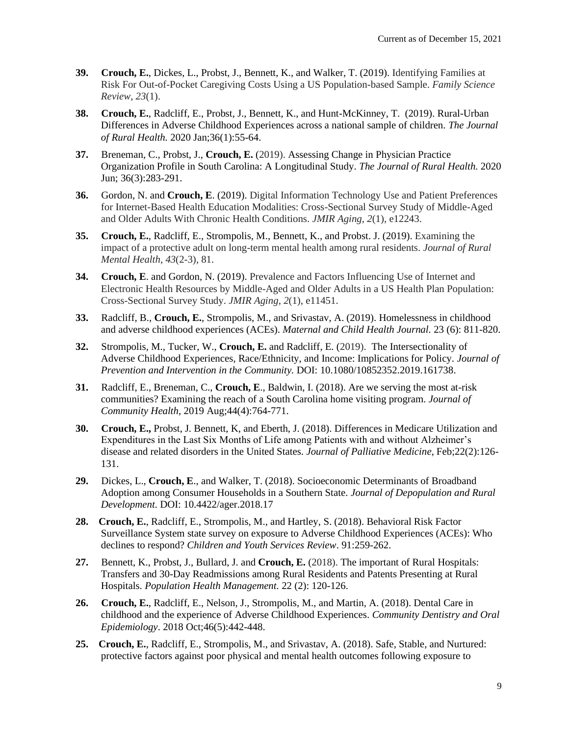- **39. Crouch, E.**, Dickes, L., Probst, J., Bennett, K., and Walker, T. (2019). Identifying Families at Risk For Out-of-Pocket Caregiving Costs Using a US Population-based Sample. *Family Science Review*, *23*(1).
- **38. Crouch, E.**, Radcliff, E., Probst, J., Bennett, K., and Hunt-McKinney, T. (2019). Rural-Urban Differences in Adverse Childhood Experiences across a national sample of children. *The Journal of Rural Health.* 2020 Jan;36(1):55-64.
- **37.** Breneman, C., Probst, J., **Crouch, E.** (2019). Assessing Change in Physician Practice Organization Profile in South Carolina: A Longitudinal Study. *The Journal of Rural Health.* 2020 Jun; 36(3):283-291.
- **36.** Gordon, N. and **Crouch, E**. (2019). Digital Information Technology Use and Patient Preferences for Internet-Based Health Education Modalities: Cross-Sectional Survey Study of Middle-Aged and Older Adults With Chronic Health Conditions. *JMIR Aging*, *2*(1), e12243.
- **35. Crouch, E.**, Radcliff, E., Strompolis, M., Bennett, K., and Probst. J. (2019). Examining the impact of a protective adult on long-term mental health among rural residents. *Journal of Rural Mental Health*, *43*(2-3), 81.
- **34. Crouch, E**. and Gordon, N. (2019). Prevalence and Factors Influencing Use of Internet and Electronic Health Resources by Middle-Aged and Older Adults in a US Health Plan Population: Cross-Sectional Survey Study. *JMIR Aging*, *2*(1), e11451.
- **33.** Radcliff, B., **Crouch, E.**, Strompolis, M., and Srivastav, A. (2019). Homelessness in childhood and adverse childhood experiences (ACEs). *Maternal and Child Health Journal.* 23 (6): 811-820.
- **32.** Strompolis, M., Tucker, W., **Crouch, E.** and Radcliff, E. (2019). The Intersectionality of Adverse Childhood Experiences, Race/Ethnicity, and Income: Implications for Policy. *Journal of Prevention and Intervention in the Community.* DOI: 10.1080/10852352.2019.161738.
- **31.** Radcliff, E., Breneman, C., **Crouch, E**., Baldwin, I. (2018). Are we serving the most at-risk communities? Examining the reach of a South Carolina home visiting program. *Journal of Community Health,* 2019 Aug;44(4):764-771.
- **30. Crouch, E.,** Probst, J. Bennett, K, and Eberth, J. (2018). Differences in Medicare Utilization and Expenditures in the Last Six Months of Life among Patients with and without Alzheimer's disease and related disorders in the United States. *Journal of Palliative Medicine*, Feb;22(2):126- 131.
- **29.** Dickes, L., **Crouch, E**., and Walker, T. (2018). Socioeconomic Determinants of Broadband Adoption among Consumer Households in a Southern State. *Journal of Depopulation and Rural Development.* DOI: 10.4422/ager.2018.17
- **28. Crouch, E.**, Radcliff, E., Strompolis, M., and Hartley, S. (2018). Behavioral Risk Factor Surveillance System state survey on exposure to Adverse Childhood Experiences (ACEs): Who declines to respond? *Children and Youth Services Review*. 91:259-262.
- **27.** Bennett, K., Probst, J., Bullard, J. and **Crouch, E.** (2018). The important of Rural Hospitals: Transfers and 30-Day Readmissions among Rural Residents and Patents Presenting at Rural Hospitals. *Population Health Management.* 22 (2): 120-126.
- **26. Crouch, E.**, Radcliff, E., Nelson, J., Strompolis, M., and Martin, A. (2018). Dental Care in childhood and the experience of Adverse Childhood Experiences. *Community Dentistry and Oral Epidemiology*. 2018 Oct;46(5):442-448.
- **25. Crouch, E.**, Radcliff, E., Strompolis, M., and Srivastav, A. (2018). Safe, Stable, and Nurtured: protective factors against poor physical and mental health outcomes following exposure to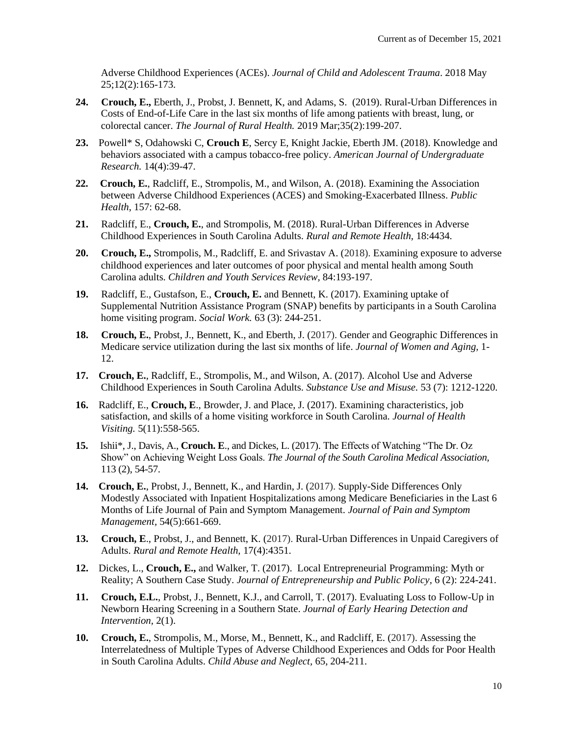Adverse Childhood Experiences (ACEs). *Journal of Child and Adolescent Trauma*. 2018 May 25;12(2):165-173.

- **24. Crouch, E.,** Eberth, J., Probst, J. Bennett, K, and Adams, S. (2019). Rural-Urban Differences in Costs of End-of-Life Care in the last six months of life among patients with breast, lung, or colorectal cancer. *The Journal of Rural Health.* 2019 Mar;35(2):199-207.
- **23.** Powell\* S, Odahowski C, **Crouch E**, Sercy E, Knight Jackie, Eberth JM. (2018). Knowledge and behaviors associated with a campus tobacco-free policy. *American Journal of Undergraduate Research.* 14(4):39-47.
- **22. Crouch, E.**, Radcliff, E., Strompolis, M., and Wilson, A. (2018). Examining the Association between Adverse Childhood Experiences (ACES) and Smoking-Exacerbated Illness. *Public Health*, 157: 62-68.
- **21.** Radcliff, E., **Crouch, E.**, and Strompolis, M. (2018). Rural-Urban Differences in Adverse Childhood Experiences in South Carolina Adults. *Rural and Remote Health,* 18:4434.
- **20. Crouch, E.,** Strompolis, M., Radcliff, E. and Srivastav A. (2018). Examining exposure to adverse childhood experiences and later outcomes of poor physical and mental health among South Carolina adults. *Children and Youth Services Review,* 84:193-197.
- **19.** Radcliff, E., Gustafson, E., **Crouch, E.** and Bennett, K. (2017). Examining uptake of Supplemental Nutrition Assistance Program (SNAP) benefits by participants in a South Carolina home visiting program. *Social Work.* 63 (3): 244-251.
- **18. Crouch, E.**, Probst, J., Bennett, K., and Eberth, J. (2017). Gender and Geographic Differences in Medicare service utilization during the last six months of life. *Journal of Women and Aging,* 1- 12.
- **17. Crouch, E.**, Radcliff, E., Strompolis, M., and Wilson, A. (2017). Alcohol Use and Adverse Childhood Experiences in South Carolina Adults. *Substance Use and Misuse.* 53 (7): 1212-1220.
- **16.** Radcliff, E., **Crouch, E**., Browder, J. and Place, J. (2017). Examining characteristics, job satisfaction, and skills of a home visiting workforce in South Carolina. *Journal of Health Visiting.* 5(11):558-565.
- **15.** Ishii\*, J., Davis, A., **Crouch. E**., and Dickes, L. (2017). The Effects of Watching "The Dr. Oz Show" on Achieving Weight Loss Goals. *The Journal of the South Carolina Medical Association,*  113 (2), 54-57.
- **14. Crouch, E.**, Probst, J., Bennett, K., and Hardin, J. (2017). Supply-Side Differences Only Modestly Associated with Inpatient Hospitalizations among Medicare Beneficiaries in the Last 6 Months of Life Journal of Pain and Symptom Management. *Journal of Pain and Symptom Management,* 54(5):661-669.
- **13. Crouch, E**., Probst, J., and Bennett, K. (2017). Rural-Urban Differences in Unpaid Caregivers of Adults. *Rural and Remote Health,* 17(4):4351.
- **12.** Dickes, L., **Crouch, E.,** and Walker, T. (2017). Local Entrepreneurial Programming: Myth or Reality; A Southern Case Study. *Journal of Entrepreneurship and Public Policy,* 6 (2): 224-241.
- **11. Crouch, E.L.**, Probst, J., Bennett, K.J., and Carroll, T. (2017). Evaluating Loss to Follow-Up in Newborn Hearing Screening in a Southern State. *Journal of Early Hearing Detection and Intervention,* 2(1).
- **10. Crouch, E.**, Strompolis, M., Morse, M., Bennett, K., and Radcliff, E. (2017). Assessing the Interrelatedness of Multiple Types of Adverse Childhood Experiences and Odds for Poor Health in South Carolina Adults. *Child Abuse and Neglect,* 65, 204-211.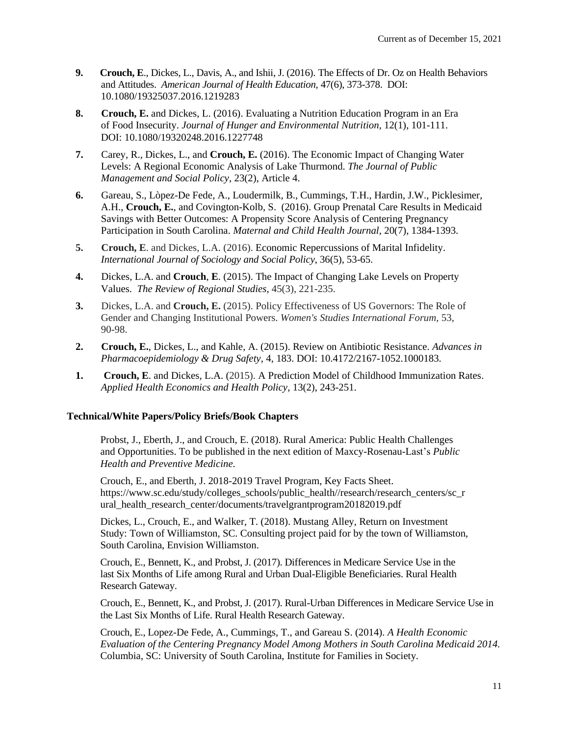- **9. Crouch, E**., Dickes, L., Davis, A., and Ishii, J. (2016). The Effects of Dr. Oz on Health Behaviors and Attitudes. *American Journal of Health Education,* 47(6), 373-378. DOI: 10.1080/19325037.2016.1219283
- **8. Crouch, E.** and Dickes, L. (2016). Evaluating a Nutrition Education Program in an Era of Food Insecurity. *Journal of Hunger and Environmental Nutrition,* 12(1), 101-111. DOI: 10.1080/19320248.2016.1227748
- **7.** Carey, R., Dickes, L., and **Crouch, E.** (2016). The Economic Impact of Changing Water Levels: A Regional Economic Analysis of Lake Thurmond. *The Journal of Public Management and Social Policy,* 23(2), Article 4.
- **6.** Gareau, S., Lòpez-De Fede, A., Loudermilk, B., Cummings, T.H., Hardin, J.W., Picklesimer, A.H., **Crouch, E.**, and Covington-Kolb, S. (2016). Group Prenatal Care Results in Medicaid Savings with Better Outcomes: A Propensity Score Analysis of Centering Pregnancy Participation in South Carolina. *Maternal and Child Health Journal,* 20(7), 1384-1393.
- **5. Crouch, E**. and Dickes, L.A. (2016). Economic Repercussions of Marital Infidelity. *International Journal of Sociology and Social Policy,* 36(5), 53-65.
- **4.** Dickes, L.A. and **Crouch**, **E**. (2015). The Impact of Changing Lake Levels on Property Values. *The Review of Regional Studies,* 45(3), 221-235.
- **3.** Dickes, L.A. and **Crouch, E.** (2015). Policy Effectiveness of US Governors: The Role of Gender and Changing Institutional Powers. *Women's Studies International Forum,* 53, 90-98.
- **2. Crouch, E.**, Dickes, L., and Kahle, A. (2015). Review on Antibiotic Resistance. *Advances in Pharmacoepidemiology & Drug Safety,* 4, 183. DOI: 10.4172/2167-1052.1000183.
- **1. Crouch, E**. and Dickes, L.A. (2015). A Prediction Model of Childhood Immunization Rates. *Applied Health Economics and Health Policy*, 13(2), 243-251.

## **Technical/White Papers/Policy Briefs/Book Chapters**

Probst, J., Eberth, J., and Crouch, E. (2018). Rural America: Public Health Challenges and Opportunities. To be published in the next edition of Maxcy-Rosenau-Last's *Public Health and Preventive Medicine.*

Crouch, E., and Eberth, J. 2018-2019 Travel Program, Key Facts Sheet. https://www.sc.edu/study/colleges\_schools/public\_health//research/research\_centers/sc\_r ural\_health\_research\_center/documents/travelgrantprogram20182019.pdf

Dickes, L., Crouch, E., and Walker, T. (2018). Mustang Alley, Return on Investment Study: Town of Williamston, SC. Consulting project paid for by the town of Williamston, South Carolina, Envision Williamston.

Crouch, E., Bennett, K., and Probst, J. (2017). Differences in Medicare Service Use in the last Six Months of Life among Rural and Urban Dual-Eligible Beneficiaries. Rural Health Research Gateway.

Crouch, E., Bennett, K., and Probst, J. (2017). Rural-Urban Differences in Medicare Service Use in the Last Six Months of Life. Rural Health Research Gateway.

Crouch, E., Lopez-De Fede, A., Cummings, T., and Gareau S. (2014). *A Health Economic Evaluation of the Centering Pregnancy Model Among Mothers in South Carolina Medicaid 2014.* Columbia, SC: University of South Carolina, Institute for Families in Society.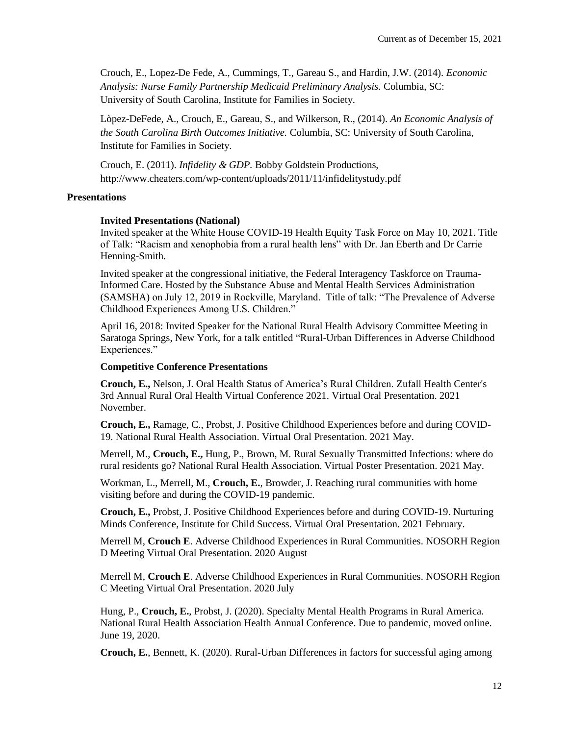Crouch, E., Lopez-De Fede, A., Cummings, T., Gareau S., and Hardin, J.W. (2014). *Economic Analysis: Nurse Family Partnership Medicaid Preliminary Analysis.* Columbia, SC: University of South Carolina, Institute for Families in Society.

Lòpez-DeFede, A., Crouch, E., Gareau, S., and Wilkerson, R., (2014). *An Economic Analysis of the South Carolina Birth Outcomes Initiative.* Columbia, SC: University of South Carolina, Institute for Families in Society.

Crouch, E. (2011). *Infidelity & GDP.* Bobby Goldstein Productions, <http://www.cheaters.com/wp-content/uploads/2011/11/infidelitystudy.pdf>

#### **Presentations**

#### **Invited Presentations (National)**

Invited speaker at the White House COVID-19 Health Equity Task Force on May 10, 2021. Title of Talk: "Racism and xenophobia from a rural health lens" with Dr. Jan Eberth and Dr Carrie Henning-Smith.

Invited speaker at the congressional initiative, the Federal Interagency Taskforce on Trauma-Informed Care. Hosted by the Substance Abuse and Mental Health Services Administration (SAMSHA) on July 12, 2019 in Rockville, Maryland. Title of talk: "The Prevalence of Adverse Childhood Experiences Among U.S. Children."

April 16, 2018: Invited Speaker for the National Rural Health Advisory Committee Meeting in Saratoga Springs, New York, for a talk entitled "Rural-Urban Differences in Adverse Childhood Experiences."

#### **Competitive Conference Presentations**

**Crouch, E.,** Nelson, J. Oral Health Status of America's Rural Children. Zufall Health Center's 3rd Annual Rural Oral Health Virtual Conference 2021. Virtual Oral Presentation. 2021 November.

**Crouch, E.,** Ramage, C., Probst, J. Positive Childhood Experiences before and during COVID-19. National Rural Health Association. Virtual Oral Presentation. 2021 May.

Merrell, M., **Crouch, E.,** Hung, P., Brown, M. Rural Sexually Transmitted Infections: where do rural residents go? National Rural Health Association. Virtual Poster Presentation. 2021 May.

Workman, L., Merrell, M., **Crouch, E.**, Browder, J. Reaching rural communities with home visiting before and during the COVID-19 pandemic.

**Crouch, E.,** Probst, J. Positive Childhood Experiences before and during COVID-19. Nurturing Minds Conference, Institute for Child Success. Virtual Oral Presentation. 2021 February.

Merrell M, **Crouch E**. Adverse Childhood Experiences in Rural Communities. NOSORH Region D Meeting Virtual Oral Presentation. 2020 August

Merrell M, **Crouch E**. Adverse Childhood Experiences in Rural Communities. NOSORH Region C Meeting Virtual Oral Presentation. 2020 July

Hung, P., **Crouch, E.**, Probst, J. (2020). Specialty Mental Health Programs in Rural America. National Rural Health Association Health Annual Conference. Due to pandemic, moved online. June 19, 2020.

**Crouch, E.**, Bennett, K. (2020). Rural-Urban Differences in factors for successful aging among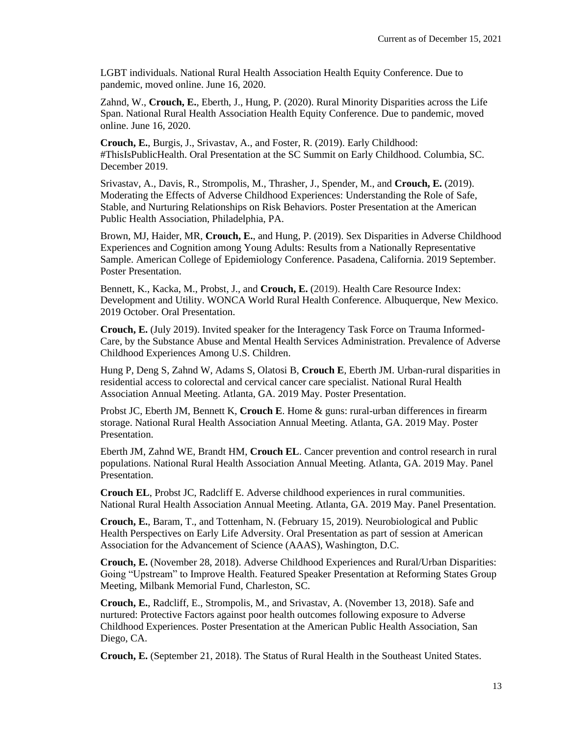LGBT individuals. National Rural Health Association Health Equity Conference. Due to pandemic, moved online. June 16, 2020.

Zahnd, W., **Crouch, E.**, Eberth, J., Hung, P. (2020). Rural Minority Disparities across the Life Span. National Rural Health Association Health Equity Conference. Due to pandemic, moved online. June 16, 2020.

**Crouch, E.**, Burgis, J., Srivastav, A., and Foster, R. (2019). Early Childhood: #ThisIsPublicHealth. Oral Presentation at the SC Summit on Early Childhood. Columbia, SC. December 2019.

Srivastav, A., Davis, R., Strompolis, M., Thrasher, J., Spender, M., and **Crouch, E.** (2019). Moderating the Effects of Adverse Childhood Experiences: Understanding the Role of Safe, Stable, and Nurturing Relationships on Risk Behaviors. Poster Presentation at the American Public Health Association, Philadelphia, PA.

Brown, MJ, Haider, MR, **Crouch, E.**, and Hung, P. (2019). Sex Disparities in Adverse Childhood Experiences and Cognition among Young Adults: Results from a Nationally Representative Sample. American College of Epidemiology Conference. Pasadena, California. 2019 September. Poster Presentation.

Bennett, K., Kacka, M., Probst, J., and **Crouch, E.** (2019). Health Care Resource Index: Development and Utility. WONCA World Rural Health Conference. Albuquerque, New Mexico. 2019 October. Oral Presentation.

**Crouch, E.** (July 2019). Invited speaker for the Interagency Task Force on Trauma Informed-Care, by the Substance Abuse and Mental Health Services Administration. Prevalence of Adverse Childhood Experiences Among U.S. Children.

Hung P, Deng S, Zahnd W, Adams S, Olatosi B, **Crouch E**, Eberth JM. Urban-rural disparities in residential access to colorectal and cervical cancer care specialist. National Rural Health Association Annual Meeting. Atlanta, GA. 2019 May. Poster Presentation.

Probst JC, Eberth JM, Bennett K, **Crouch E**. Home & guns: rural-urban differences in firearm storage. National Rural Health Association Annual Meeting. Atlanta, GA. 2019 May. Poster Presentation.

Eberth JM, Zahnd WE, Brandt HM, **Crouch EL**. Cancer prevention and control research in rural populations. National Rural Health Association Annual Meeting. Atlanta, GA. 2019 May. Panel Presentation.

**Crouch EL**, Probst JC, Radcliff E. Adverse childhood experiences in rural communities. National Rural Health Association Annual Meeting. Atlanta, GA. 2019 May. Panel Presentation.

**Crouch, E.**, Baram, T., and Tottenham, N. (February 15, 2019). Neurobiological and Public Health Perspectives on Early Life Adversity. Oral Presentation as part of session at American Association for the Advancement of Science (AAAS), Washington, D.C.

**Crouch, E.** (November 28, 2018). Adverse Childhood Experiences and Rural/Urban Disparities: Going "Upstream" to Improve Health. Featured Speaker Presentation at Reforming States Group Meeting, Milbank Memorial Fund, Charleston, SC.

**Crouch, E.**, Radcliff, E., Strompolis, M., and Srivastav, A. (November 13, 2018). Safe and nurtured: Protective Factors against poor health outcomes following exposure to Adverse Childhood Experiences. Poster Presentation at the American Public Health Association, San Diego, CA.

**Crouch, E.** (September 21, 2018). The Status of Rural Health in the Southeast United States.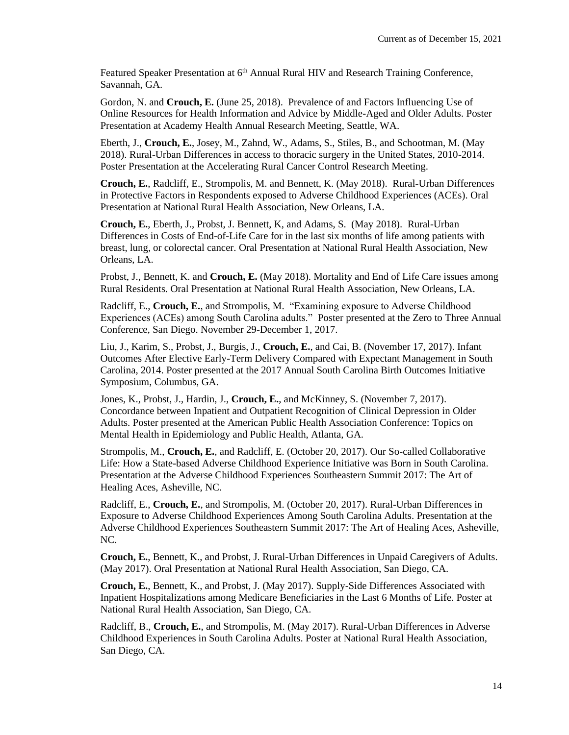Featured Speaker Presentation at 6<sup>th</sup> Annual Rural HIV and Research Training Conference, Savannah, GA.

Gordon, N. and **Crouch, E.** (June 25, 2018). Prevalence of and Factors Influencing Use of Online Resources for Health Information and Advice by Middle-Aged and Older Adults. Poster Presentation at Academy Health Annual Research Meeting, Seattle, WA.

Eberth, J., **Crouch, E.**, Josey, M., Zahnd, W., Adams, S., Stiles, B., and Schootman, M. (May 2018). Rural-Urban Differences in access to thoracic surgery in the United States, 2010-2014. Poster Presentation at the Accelerating Rural Cancer Control Research Meeting.

**Crouch, E.**, Radcliff, E., Strompolis, M. and Bennett, K. (May 2018). Rural-Urban Differences in Protective Factors in Respondents exposed to Adverse Childhood Experiences (ACEs). Oral Presentation at National Rural Health Association, New Orleans, LA.

**Crouch, E.**, Eberth, J., Probst, J. Bennett, K, and Adams, S. (May 2018). Rural-Urban Differences in Costs of End-of-Life Care for in the last six months of life among patients with breast, lung, or colorectal cancer. Oral Presentation at National Rural Health Association, New Orleans, LA.

Probst, J., Bennett, K. and **Crouch, E.** (May 2018). Mortality and End of Life Care issues among Rural Residents. Oral Presentation at National Rural Health Association, New Orleans, LA.

Radcliff, E., **Crouch, E.**, and Strompolis, M. "Examining exposure to Adverse Childhood Experiences (ACEs) among South Carolina adults." Poster presented at the Zero to Three Annual Conference, San Diego. November 29-December 1, 2017.

Liu, J., Karim, S., Probst, J., Burgis, J., **Crouch, E.**, and Cai, B. (November 17, 2017). Infant Outcomes After Elective Early-Term Delivery Compared with Expectant Management in South Carolina, 2014. Poster presented at the 2017 Annual South Carolina Birth Outcomes Initiative Symposium, Columbus, GA.

Jones, K., Probst, J., Hardin, J., **Crouch, E.**, and McKinney, S. (November 7, 2017). Concordance between Inpatient and Outpatient Recognition of Clinical Depression in Older Adults. Poster presented at the American Public Health Association Conference: Topics on Mental Health in Epidemiology and Public Health, Atlanta, GA.

Strompolis, M., **Crouch, E.**, and Radcliff, E. (October 20, 2017). Our So-called Collaborative Life: How a State-based Adverse Childhood Experience Initiative was Born in South Carolina. Presentation at the Adverse Childhood Experiences Southeastern Summit 2017: The Art of Healing Aces, Asheville, NC.

Radcliff, E., **Crouch, E.**, and Strompolis, M. (October 20, 2017). Rural-Urban Differences in Exposure to Adverse Childhood Experiences Among South Carolina Adults. Presentation at the Adverse Childhood Experiences Southeastern Summit 2017: The Art of Healing Aces, Asheville, NC.

**Crouch, E.**, Bennett, K., and Probst, J. Rural-Urban Differences in Unpaid Caregivers of Adults. (May 2017). Oral Presentation at National Rural Health Association, San Diego, CA.

**Crouch, E.**, Bennett, K., and Probst, J. (May 2017). Supply-Side Differences Associated with Inpatient Hospitalizations among Medicare Beneficiaries in the Last 6 Months of Life. Poster at National Rural Health Association, San Diego, CA.

Radcliff, B., **Crouch, E.**, and Strompolis, M. (May 2017). Rural-Urban Differences in Adverse Childhood Experiences in South Carolina Adults. Poster at National Rural Health Association, San Diego, CA.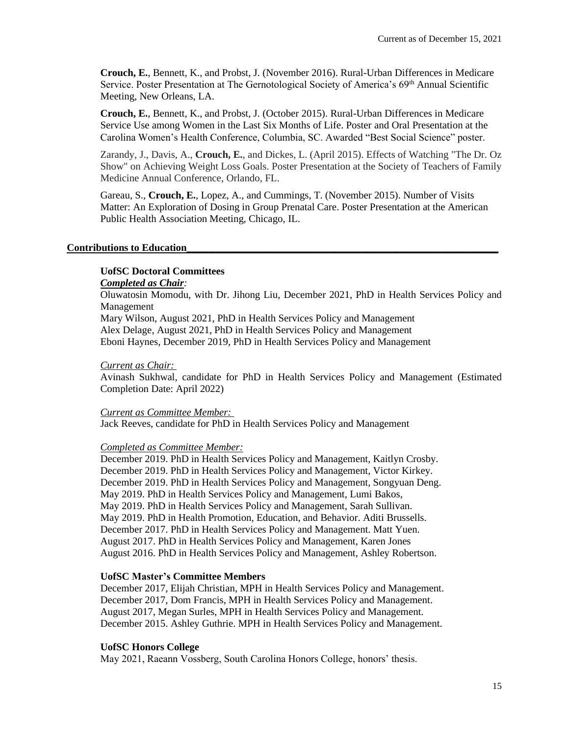**Crouch, E.**, Bennett, K., and Probst, J. (November 2016). Rural-Urban Differences in Medicare Service. Poster Presentation at The Gernotological Society of America's 69<sup>th</sup> Annual Scientific Meeting, New Orleans, LA.

**Crouch, E.**, Bennett, K., and Probst, J. (October 2015). Rural-Urban Differences in Medicare Service Use among Women in the Last Six Months of Life. Poster and Oral Presentation at the Carolina Women's Health Conference, Columbia, SC. Awarded "Best Social Science" poster.

Zarandy, J., Davis, A., **Crouch, E.**, and Dickes, L. (April 2015). Effects of Watching "The Dr. Oz Show" on Achieving Weight Loss Goals. Poster Presentation at the Society of Teachers of Family Medicine Annual Conference, Orlando, FL.

Gareau, S., **Crouch, E.**, Lopez, A., and Cummings, T. (November 2015). [Number of Visits](https://apha.confex.com/apha/143am/webprogram/Paper335190.html)  [Matter: An Exploration of Dosing in Group Prenatal Care.](https://apha.confex.com/apha/143am/webprogram/Paper335190.html) Poster Presentation at the American Public Health Association Meeting, Chicago, IL.

## **Contributions to Education\_\_\_\_\_\_\_\_\_\_\_\_\_\_\_\_\_\_\_\_\_\_\_\_\_\_\_\_\_\_\_\_\_\_\_\_\_\_\_\_\_\_\_\_\_\_\_\_\_\_\_\_\_\_\_\_\_\_\_\_\_**

## **UofSC Doctoral Committees**

## *Completed as Chair:*

Oluwatosin Momodu, with Dr. Jihong Liu, December 2021, PhD in Health Services Policy and Management

Mary Wilson, August 2021, PhD in Health Services Policy and Management Alex Delage, August 2021, PhD in Health Services Policy and Management Eboni Haynes, December 2019, PhD in Health Services Policy and Management

#### *Current as Chair:*

Avinash Sukhwal, candidate for PhD in Health Services Policy and Management (Estimated Completion Date: April 2022)

## *Current as Committee Member:*

Jack Reeves, candidate for PhD in Health Services Policy and Management

## *Completed as Committee Member:*

December 2019. PhD in Health Services Policy and Management, Kaitlyn Crosby. December 2019. PhD in Health Services Policy and Management, Victor Kirkey. December 2019. PhD in Health Services Policy and Management, Songyuan Deng. May 2019. PhD in Health Services Policy and Management, Lumi Bakos, May 2019. PhD in Health Services Policy and Management, Sarah Sullivan. May 2019. PhD in Health Promotion, Education, and Behavior. Aditi Brussells. December 2017. PhD in Health Services Policy and Management. Matt Yuen. August 2017. PhD in Health Services Policy and Management, Karen Jones August 2016. PhD in Health Services Policy and Management, Ashley Robertson.

## **UofSC Master's Committee Members**

December 2017, Elijah Christian, MPH in Health Services Policy and Management. December 2017, Dom Francis, MPH in Health Services Policy and Management. August 2017, Megan Surles, MPH in Health Services Policy and Management. December 2015. Ashley Guthrie. MPH in Health Services Policy and Management.

## **UofSC Honors College**

May 2021, Raeann Vossberg, South Carolina Honors College, honors' thesis.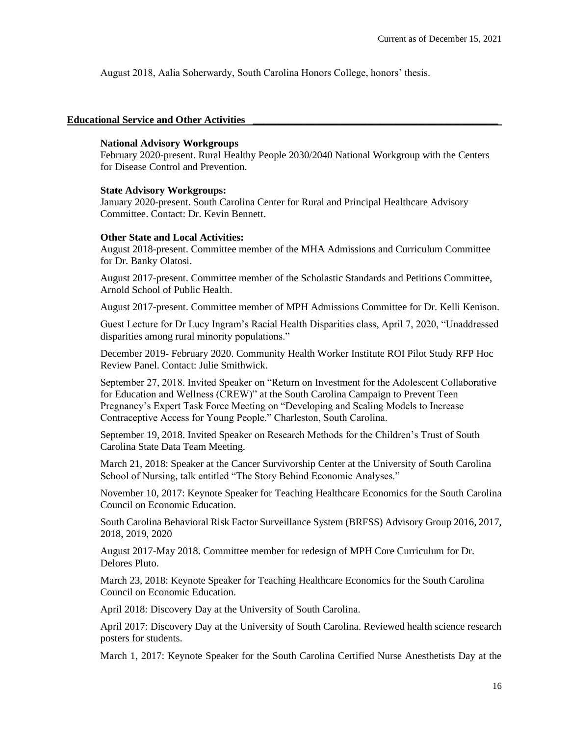August 2018, Aalia Soherwardy, South Carolina Honors College, honors' thesis.

#### Educational Service and Other Activities

#### **National Advisory Workgroups**

February 2020-present. Rural Healthy People 2030/2040 National Workgroup with the Centers for Disease Control and Prevention.

#### **State Advisory Workgroups:**

January 2020-present. South Carolina Center for Rural and Principal Healthcare Advisory Committee. Contact: Dr. Kevin Bennett.

#### **Other State and Local Activities:**

August 2018-present. Committee member of the MHA Admissions and Curriculum Committee for Dr. Banky Olatosi.

August 2017-present. Committee member of the Scholastic Standards and Petitions Committee, Arnold School of Public Health.

August 2017-present. Committee member of MPH Admissions Committee for Dr. Kelli Kenison.

Guest Lecture for Dr Lucy Ingram's Racial Health Disparities class, April 7, 2020, "Unaddressed disparities among rural minority populations."

December 2019- February 2020. Community Health Worker Institute ROI Pilot Study RFP Hoc Review Panel. Contact: Julie Smithwick.

September 27, 2018. Invited Speaker on "Return on Investment for the Adolescent Collaborative for Education and Wellness (CREW)" at the South Carolina Campaign to Prevent Teen Pregnancy's Expert Task Force Meeting on "Developing and Scaling Models to Increase Contraceptive Access for Young People." Charleston, South Carolina.

September 19, 2018. Invited Speaker on Research Methods for the Children's Trust of South Carolina State Data Team Meeting.

March 21, 2018: Speaker at the Cancer Survivorship Center at the University of South Carolina School of Nursing, talk entitled "The Story Behind Economic Analyses."

November 10, 2017: Keynote Speaker for Teaching Healthcare Economics for the South Carolina Council on Economic Education.

South Carolina Behavioral Risk Factor Surveillance System (BRFSS) Advisory Group 2016, 2017, 2018, 2019, 2020

August 2017-May 2018. Committee member for redesign of MPH Core Curriculum for Dr. Delores Pluto.

March 23, 2018: Keynote Speaker for Teaching Healthcare Economics for the South Carolina Council on Economic Education.

April 2018: Discovery Day at the University of South Carolina.

April 2017: Discovery Day at the University of South Carolina. Reviewed health science research posters for students.

March 1, 2017: Keynote Speaker for the South Carolina Certified Nurse Anesthetists Day at the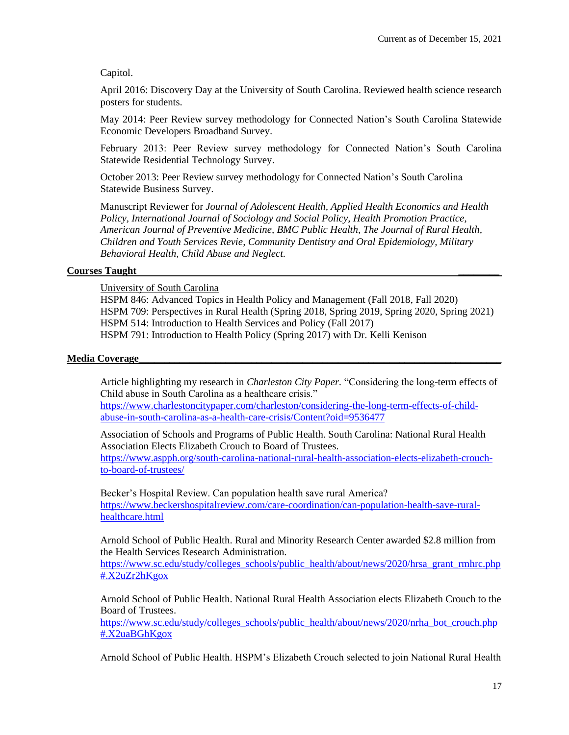## Capitol.

April 2016: Discovery Day at the University of South Carolina. Reviewed health science research posters for students.

May 2014: Peer Review survey methodology for Connected Nation's South Carolina Statewide Economic Developers Broadband Survey.

February 2013: Peer Review survey methodology for Connected Nation's South Carolina Statewide Residential Technology Survey.

October 2013: Peer Review survey methodology for Connected Nation's South Carolina Statewide Business Survey.

Manuscript Reviewer for *Journal of Adolescent Health, Applied Health Economics and Health Policy, International Journal of Sociology and Social Policy, Health Promotion Practice, American Journal of Preventive Medicine, BMC Public Health, The Journal of Rural Health, Children and Youth Services Revie, Community Dentistry and Oral Epidemiology, Military Behavioral Health, Child Abuse and Neglect.*

## **Courses Taught \_\_\_\_\_\_\_\_**

University of South Carolina

HSPM 846: Advanced Topics in Health Policy and Management (Fall 2018, Fall 2020) HSPM 709: Perspectives in Rural Health (Spring 2018, Spring 2019, Spring 2020, Spring 2021) HSPM 514: Introduction to Health Services and Policy (Fall 2017) HSPM 791: Introduction to Health Policy (Spring 2017) with Dr. Kelli Kenison

## **Media Coverage\_\_\_\_\_\_\_\_\_\_\_\_\_\_\_\_\_\_\_\_\_\_\_\_\_\_\_\_\_\_\_\_\_\_\_\_\_\_\_\_\_\_\_\_\_\_\_\_\_\_\_\_\_\_\_\_\_\_\_\_\_\_\_\_\_\_\_\_\_\_\_**

Article highlighting my research in *Charleston City Paper.* "Considering the long-term effects of Child abuse in South Carolina as a healthcare crisis."

[https://www.charlestoncitypaper.com/charleston/considering-the-long-term-effects-of-child](https://www.charlestoncitypaper.com/charleston/considering-the-long-term-effects-of-child-abuse-in-south-carolina-as-a-health-care-crisis/Content?oid=9536477)[abuse-in-south-carolina-as-a-health-care-crisis/Content?oid=9536477](https://www.charlestoncitypaper.com/charleston/considering-the-long-term-effects-of-child-abuse-in-south-carolina-as-a-health-care-crisis/Content?oid=9536477)

Association of Schools and Programs of Public Health. South Carolina: National Rural Health Association Elects Elizabeth Crouch to Board of Trustees.

[https://www.aspph.org/south-carolina-national-rural-health-association-elects-elizabeth-crouch](https://www.aspph.org/south-carolina-national-rural-health-association-elects-elizabeth-crouch-to-board-of-trustees/)[to-board-of-trustees/](https://www.aspph.org/south-carolina-national-rural-health-association-elects-elizabeth-crouch-to-board-of-trustees/)

Becker's Hospital Review. Can population health save rural America? [https://www.beckershospitalreview.com/care-coordination/can-population-health-save-rural](https://www.beckershospitalreview.com/care-coordination/can-population-health-save-rural-healthcare.html)[healthcare.html](https://www.beckershospitalreview.com/care-coordination/can-population-health-save-rural-healthcare.html)

Arnold School of Public Health. Rural and Minority Research Center awarded \$2.8 million from the Health Services Research Administration.

[https://www.sc.edu/study/colleges\\_schools/public\\_health/about/news/2020/hrsa\\_grant\\_rmhrc.php](https://www.sc.edu/study/colleges_schools/public_health/about/news/2020/hrsa_grant_rmhrc.php#.X2uZr2hKgox) [#.X2uZr2hKgox](https://www.sc.edu/study/colleges_schools/public_health/about/news/2020/hrsa_grant_rmhrc.php#.X2uZr2hKgox)

Arnold School of Public Health. National Rural Health Association elects Elizabeth Crouch to the Board of Trustees.

[https://www.sc.edu/study/colleges\\_schools/public\\_health/about/news/2020/nrha\\_bot\\_crouch.php](https://www.sc.edu/study/colleges_schools/public_health/about/news/2020/nrha_bot_crouch.php#.X2uaBGhKgox) [#.X2uaBGhKgox](https://www.sc.edu/study/colleges_schools/public_health/about/news/2020/nrha_bot_crouch.php#.X2uaBGhKgox)

Arnold School of Public Health. HSPM's Elizabeth Crouch selected to join National Rural Health